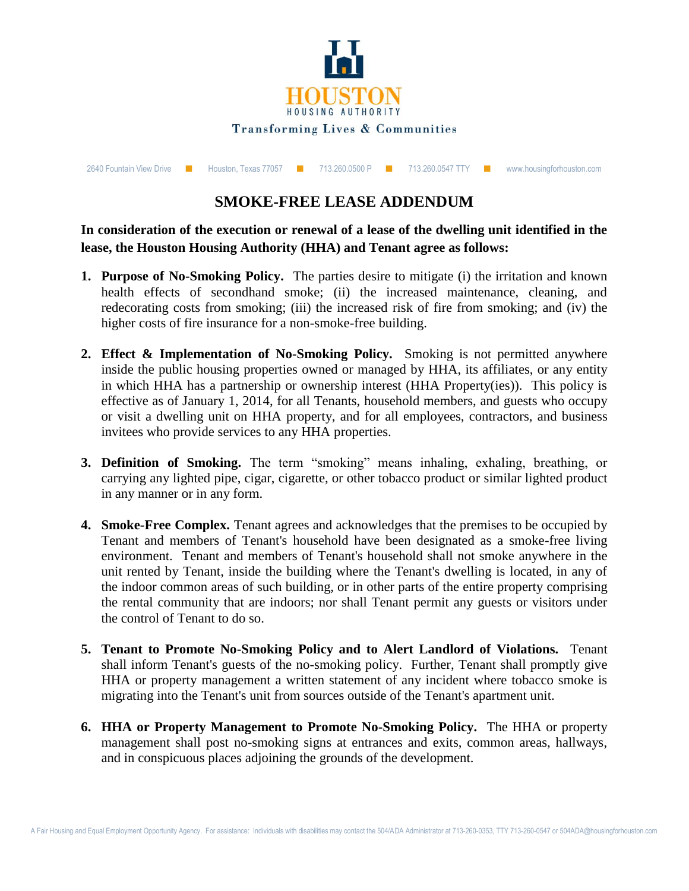

| 2640 Fountain View Drive ■ |  | Houston, Texas 77057 ■ 713.260.0500 P ■ 713.260.0547 TTY ■ |  |  |  |  |  | www.housingforhouston.com |
|----------------------------|--|------------------------------------------------------------|--|--|--|--|--|---------------------------|
|----------------------------|--|------------------------------------------------------------|--|--|--|--|--|---------------------------|

## **SMOKE-FREE LEASE ADDENDUM**

## **In consideration of the execution or renewal of a lease of the dwelling unit identified in the lease, the Houston Housing Authority (HHA) and Tenant agree as follows:**

- **1. Purpose of No-Smoking Policy.** The parties desire to mitigate (i) the irritation and known health effects of secondhand smoke; (ii) the increased maintenance, cleaning, and redecorating costs from smoking; (iii) the increased risk of fire from smoking; and (iv) the higher costs of fire insurance for a non-smoke-free building.
- **2. Effect & Implementation of No-Smoking Policy.** Smoking is not permitted anywhere inside the public housing properties owned or managed by HHA, its affiliates, or any entity in which HHA has a partnership or ownership interest (HHA Property(ies)). This policy is effective as of January 1, 2014, for all Tenants, household members, and guests who occupy or visit a dwelling unit on HHA property, and for all employees, contractors, and business invitees who provide services to any HHA properties.
- **3. Definition of Smoking.** The term "smoking" means inhaling, exhaling, breathing, or carrying any lighted pipe, cigar, cigarette, or other tobacco product or similar lighted product in any manner or in any form.
- **4. Smoke-Free Complex.** Tenant agrees and acknowledges that the premises to be occupied by Tenant and members of Tenant's household have been designated as a smoke-free living environment. Tenant and members of Tenant's household shall not smoke anywhere in the unit rented by Tenant, inside the building where the Tenant's dwelling is located, in any of the indoor common areas of such building, or in other parts of the entire property comprising the rental community that are indoors; nor shall Tenant permit any guests or visitors under the control of Tenant to do so.
- **5. Tenant to Promote No-Smoking Policy and to Alert Landlord of Violations.** Tenant shall inform Tenant's guests of the no-smoking policy. Further, Tenant shall promptly give HHA or property management a written statement of any incident where tobacco smoke is migrating into the Tenant's unit from sources outside of the Tenant's apartment unit.
- **6. HHA or Property Management to Promote No-Smoking Policy.** The HHA or property management shall post no-smoking signs at entrances and exits, common areas, hallways, and in conspicuous places adjoining the grounds of the development.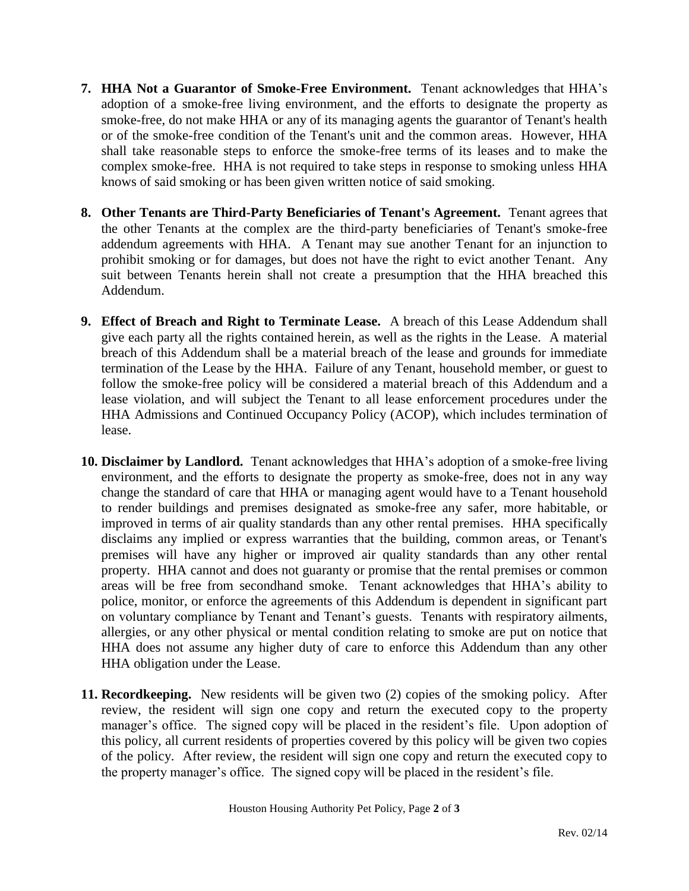- **7. HHA Not a Guarantor of Smoke-Free Environment.** Tenant acknowledges that HHA's adoption of a smoke-free living environment, and the efforts to designate the property as smoke-free, do not make HHA or any of its managing agents the guarantor of Tenant's health or of the smoke-free condition of the Tenant's unit and the common areas. However, HHA shall take reasonable steps to enforce the smoke-free terms of its leases and to make the complex smoke-free. HHA is not required to take steps in response to smoking unless HHA knows of said smoking or has been given written notice of said smoking.
- **8. Other Tenants are Third-Party Beneficiaries of Tenant's Agreement.** Tenant agrees that the other Tenants at the complex are the third-party beneficiaries of Tenant's smoke-free addendum agreements with HHA. A Tenant may sue another Tenant for an injunction to prohibit smoking or for damages, but does not have the right to evict another Tenant. Any suit between Tenants herein shall not create a presumption that the HHA breached this Addendum.
- **9. Effect of Breach and Right to Terminate Lease.** A breach of this Lease Addendum shall give each party all the rights contained herein, as well as the rights in the Lease. A material breach of this Addendum shall be a material breach of the lease and grounds for immediate termination of the Lease by the HHA. Failure of any Tenant, household member, or guest to follow the smoke-free policy will be considered a material breach of this Addendum and a lease violation, and will subject the Tenant to all lease enforcement procedures under the HHA Admissions and Continued Occupancy Policy (ACOP), which includes termination of lease.
- **10. Disclaimer by Landlord.** Tenant acknowledges that HHA's adoption of a smoke-free living environment, and the efforts to designate the property as smoke-free, does not in any way change the standard of care that HHA or managing agent would have to a Tenant household to render buildings and premises designated as smoke-free any safer, more habitable, or improved in terms of air quality standards than any other rental premises. HHA specifically disclaims any implied or express warranties that the building, common areas, or Tenant's premises will have any higher or improved air quality standards than any other rental property. HHA cannot and does not guaranty or promise that the rental premises or common areas will be free from secondhand smoke. Tenant acknowledges that HHA's ability to police, monitor, or enforce the agreements of this Addendum is dependent in significant part on voluntary compliance by Tenant and Tenant's guests. Tenants with respiratory ailments, allergies, or any other physical or mental condition relating to smoke are put on notice that HHA does not assume any higher duty of care to enforce this Addendum than any other HHA obligation under the Lease.
- **11. Recordkeeping.** New residents will be given two (2) copies of the smoking policy. After review, the resident will sign one copy and return the executed copy to the property manager's office. The signed copy will be placed in the resident's file. Upon adoption of this policy, all current residents of properties covered by this policy will be given two copies of the policy. After review, the resident will sign one copy and return the executed copy to the property manager's office. The signed copy will be placed in the resident's file.